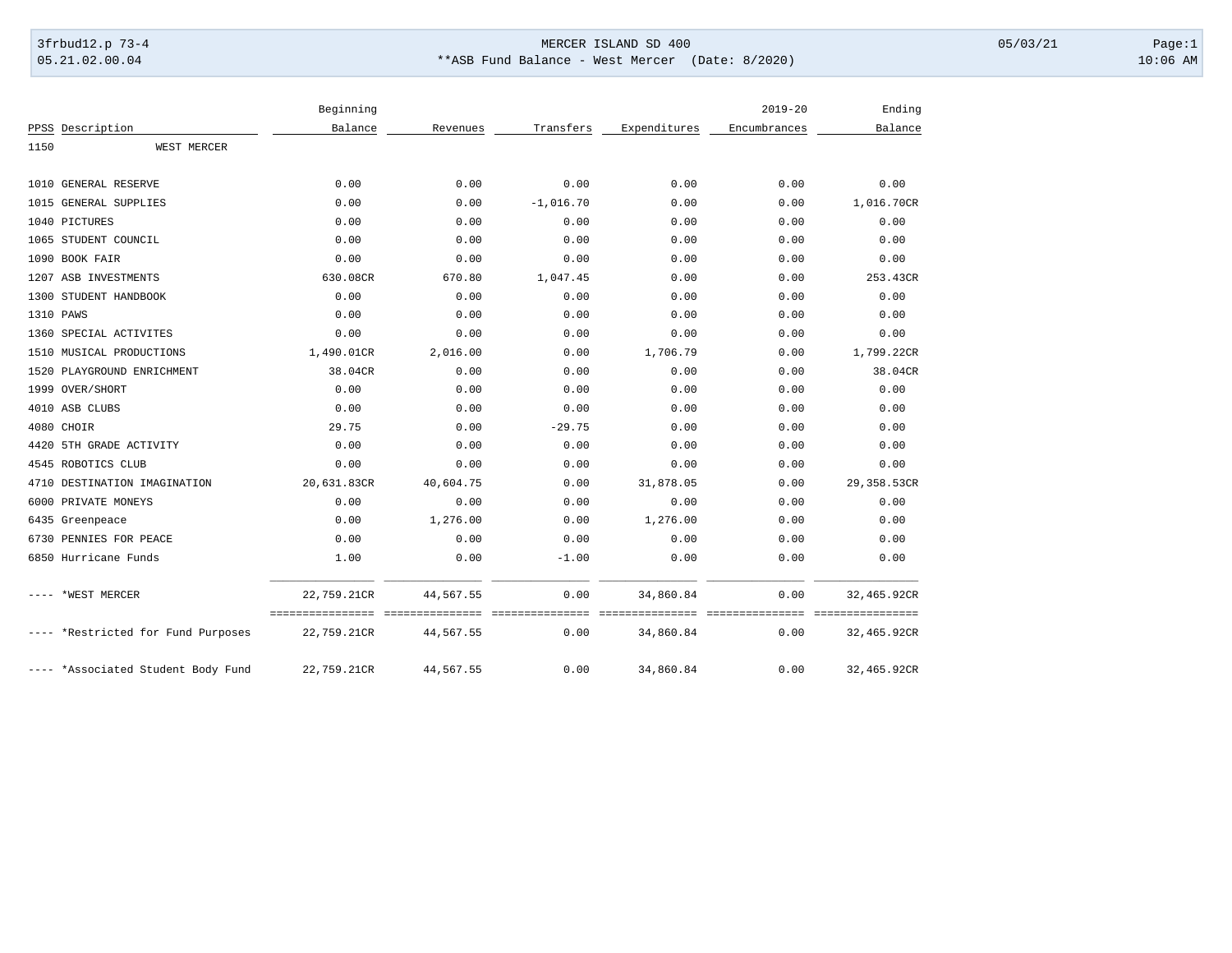## 3frbud12.p 73-4 Page:1 Page:1

05.21.02.00.04 \*\*ASB Fund Balance - West Mercer (Date: 8/2020) 10:06 AM

|      |                                    | Beginning   |           |             |              | $2019 - 20$  | Ending      |
|------|------------------------------------|-------------|-----------|-------------|--------------|--------------|-------------|
|      | PPSS Description                   | Balance     | Revenues  | Transfers   | Expenditures | Encumbrances | Balance     |
| 1150 | WEST MERCER                        |             |           |             |              |              |             |
|      | 1010 GENERAL RESERVE               | 0.00        | 0.00      | 0.00        | 0.00         | 0.00         | 0.00        |
|      | 1015 GENERAL SUPPLIES              | 0.00        | 0.00      | $-1,016.70$ | 0.00         | 0.00         | 1,016.70CR  |
|      | 1040 PICTURES                      | 0.00        | 0.00      | 0.00        | 0.00         | 0.00         | 0.00        |
|      | 1065 STUDENT COUNCIL               | 0.00        | 0.00      | 0.00        | 0.00         | 0.00         | 0.00        |
|      | 1090 BOOK FAIR                     | 0.00        | 0.00      | 0.00        | 0.00         | 0.00         | 0.00        |
|      | 1207 ASB INVESTMENTS               | 630.08CR    | 670.80    | 1,047.45    | 0.00         | 0.00         | 253.43CR    |
|      | 1300 STUDENT HANDBOOK              | 0.00        | 0.00      | 0.00        | 0.00         | 0.00         | 0.00        |
|      | 1310 PAWS                          | 0.00        | 0.00      | 0.00        | 0.00         | 0.00         | 0.00        |
|      | 1360 SPECIAL ACTIVITES             | 0.00        | 0.00      | 0.00        | 0.00         | 0.00         | 0.00        |
|      | 1510 MUSICAL PRODUCTIONS           | 1,490.01CR  | 2,016.00  | 0.00        | 1,706.79     | 0.00         | 1,799.22CR  |
|      | 1520 PLAYGROUND ENRICHMENT         | 38.04CR     | 0.00      | 0.00        | 0.00         | 0.00         | 38.04CR     |
|      | 1999 OVER/SHORT                    | 0.00        | 0.00      | 0.00        | 0.00         | 0.00         | 0.00        |
|      | 4010 ASB CLUBS                     | 0.00        | 0.00      | 0.00        | 0.00         | 0.00         | 0.00        |
|      | 4080 CHOIR                         | 29.75       | 0.00      | $-29.75$    | 0.00         | 0.00         | 0.00        |
|      | 4420 5TH GRADE ACTIVITY            | 0.00        | 0.00      | 0.00        | 0.00         | 0.00         | 0.00        |
|      | 4545 ROBOTICS CLUB                 | 0.00        | 0.00      | 0.00        | 0.00         | 0.00         | 0.00        |
|      | 4710 DESTINATION IMAGINATION       | 20,631.83CR | 40,604.75 | 0.00        | 31,878.05    | 0.00         | 29,358.53CR |
|      | 6000 PRIVATE MONEYS                | 0.00        | 0.00      | 0.00        | 0.00         | 0.00         | 0.00        |
|      | 6435 Greenpeace                    | 0.00        | 1,276.00  | 0.00        | 1,276.00     | 0.00         | 0.00        |
|      | 6730 PENNIES FOR PEACE             | 0.00        | 0.00      | 0.00        | 0.00         | 0.00         | 0.00        |
|      | 6850 Hurricane Funds               | 1.00        | 0.00      | $-1.00$     | 0.00         | 0.00         | 0.00        |
|      | *WEST MERCER                       | 22,759.21CR | 44,567.55 | 0.00        | 34,860.84    | 0.00         | 32,465.92CR |
|      | *Restricted for Fund Purposes      | 22,759.21CR | 44,567.55 | 0.00        | 34,860.84    | 0.00         | 32,465.92CR |
|      | ---- *Associated Student Body Fund | 22,759.21CR | 44,567.55 | 0.00        | 34,860.84    | 0.00         | 32,465.92CR |